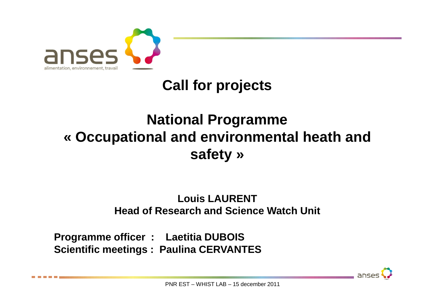

## **Call for projects**

## **National Programme « Occupational and environmental heath and safety »**

#### **Louis LAURENTHead of Research and Science Watch Unit**

**Programme officer : Laetitia DUBOIS Scientific meetings : Paulina CERVANTES**

anses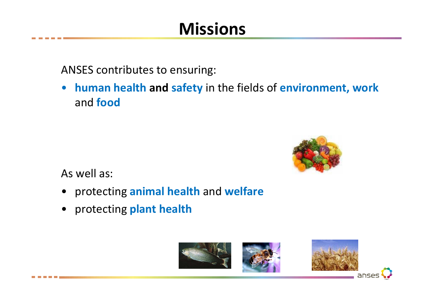# **Missions**

ANSES contributes to ensuring:

 $\bullet$  **human health and safety** in the fields of **environment, work**  and **food**



As well as:

- protecting **animal health** and **welfare**
- protecting **plant health**

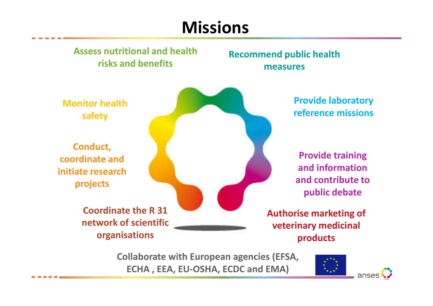# **Missions**

#### **Assess nutritional and health risks and benefits**

#### **Recommend public health measures**

**Monitor health safety**

**Conduct, coordinate and initiate research projects**

> **Coordinate the R 31 network of scientific organisations**

**Provide laboratory reference missions**

**Provide training and information and contribute to public debate**

**Authorise marketing of veterinary medicinal products**

**Collaborate with European agencies (EFSA, ECHA , EEA, EU-OSHA, ECDC and EMA)**



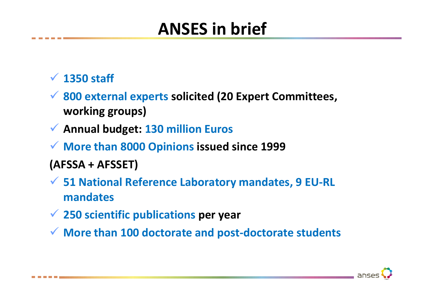# **ANSES in brief**

# **1350 staff**

- **800 external experts solicited (20 Expert Committees, working groups)**
- **Annual budget: 130 million Euros**
- **More than 8000 Opinions issued since 1999**
- **(AFSSA + AFSSET)**
- **51 National Reference Laboratory mandates, 9 EU-RL mandates**
- **250 scientific publications per year**
- **More than 100 doctorate and post-doctorate students**

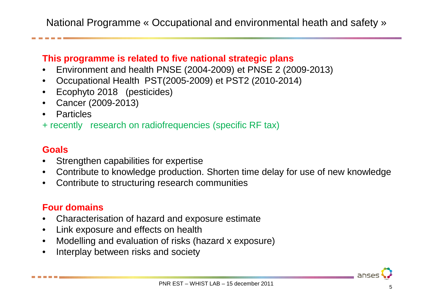National Programme « Occupational and environmental heath and safety »

#### **This programme is related to five national strategic plans**

- Environment and health PNSE (2004-2009) et PNSE 2 (2009-2013) $\bullet$
- $\bullet$ Occupational Health PST(2005-2009) et PST2 (2010-2014)
- Ecophyto 2018 (pesticides)
- Cancer (2009-2013)
- $\bullet$ Particles
- + recently research on radiofrequencies (specific RF tax)

#### **Goals**

- Strengthen capabilities for expertise •
- $\bullet$ Contribute to knowledge production. Shorten time delay for use of new knowledge
- $\bullet$ Contribute to structuring research communities

#### **Four domains**

- $\bullet$ Characterisation of hazard and exposure estimate
- $\bullet$ Link exposure and effects on health
- •Modelling and evaluation of risks (hazard x exposure)
- $\bullet$ Interplay between risks and society

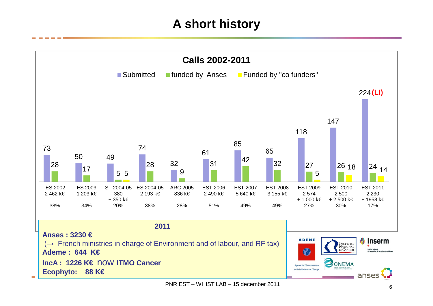### **A short history**

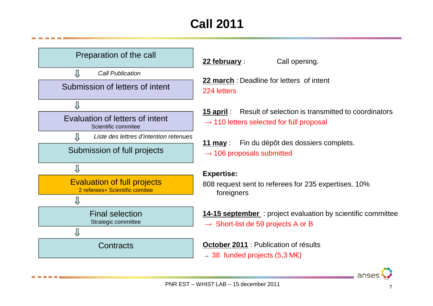## **Call 2011**



**22 march** : Deadline for letters of intent 224 letters

**15 april** : Result of selection is transmitted to coordinators

Call opening.

- $\rightarrow$  110 letters selected for full proposal
- **11 may** : Fin du dépôt des dossiers complets.  $\rightarrow$  106 proposals submitted

#### **Expertise:**

808 request sent to referees for 235 expertises. 10% foreigners

**14-15 september** : project evaluation by scientific committee

 $\rightarrow$  Short-list de 59 projects A or B

**October 2011** : Publication of résults

 $\rightarrow$  38 funded projects (5,3 M€)

anser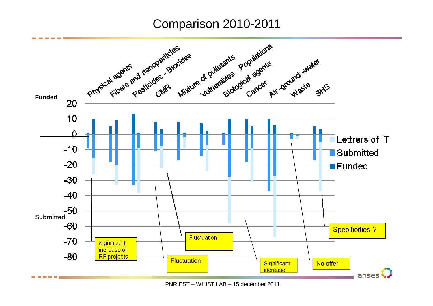#### Comparison 2010-2011



PNR EST – WHIST LAB – 15 december 2011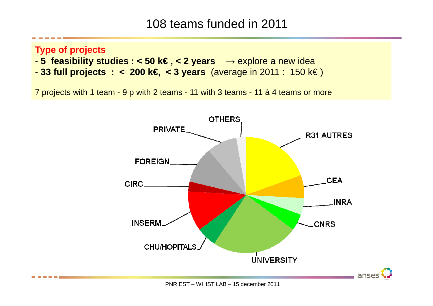### 108 teams funded in 2011

#### **Type of projects**

- **5 feasibility studies : < 50 k€ , < 2 years**  → explore a new idea
- **33 full projects : < 200 k€, < 3 years** (average in 2011 : 150 k€ )

7 projects with 1 team - 9 p with 2 teams - 11 with 3 teams - 11 à 4 teams or more

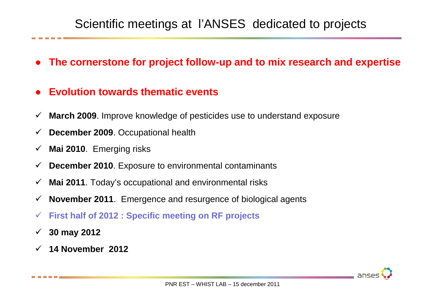### Scientific meetings at l'ANSES dedicated to projects

- **The cornerstone for project follow-up and to mix research and expertise**
- ●**Evolution towards thematic events**
- $\checkmark$ **March 2009**. Improve knowledge of pesticides use to understand exposure
- $\checkmark$ **December 2009**. Occupational health
- $\checkmark$ **Mai 2010**. Emerging risks
- $\checkmark$ **December 2010**. Exposure to environmental contaminants
- $\checkmark$ **Mai 2011**. Today's occupational and environmental risks
- $\checkmark$ **November 2011**. Emergence and resurgence of biological agents
- $\checkmark$ **First half of 2012 : Specific meeting on RF projects**
- $\checkmark$ **30 may 2012**
- $\checkmark$ **14 November 2012**

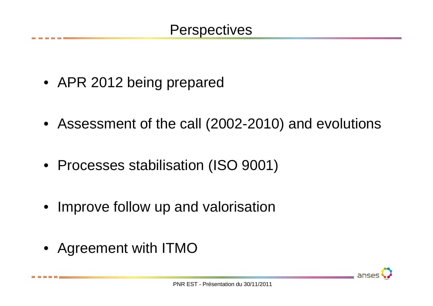- APR 2012 being prepared
- Assessment of the call (2002-2010) and evolutions
- Processes stabilisation (ISO 9001)
- Improve follow up and valorisation
- Agreement with ITMO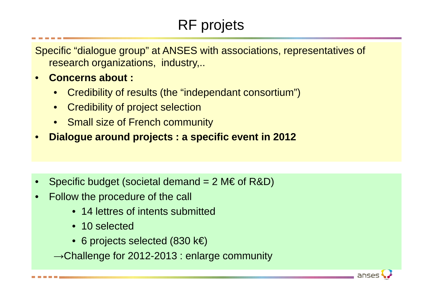## RF projets

anses

Specific "dialogue group" at ANSES with associations, representatives of research organizations, industry,..

- • **Concerns about :**
	- Credibility of results (the "independant consortium")
	- Credibility of project selection
	- Small size of French community
- •**Dialogue around projects : a specific event in 2012**

- •Specific budget (societal demand  $= 2 \text{M} \in \text{of R&D}$ )
- • Follow the procedure of the call
	- 14 lettres of intents submitted
	- 10 selected
	- 6 projects selected (830 k€)

 $\rightarrow$ Challenge for 2012-2013 : enlarge community